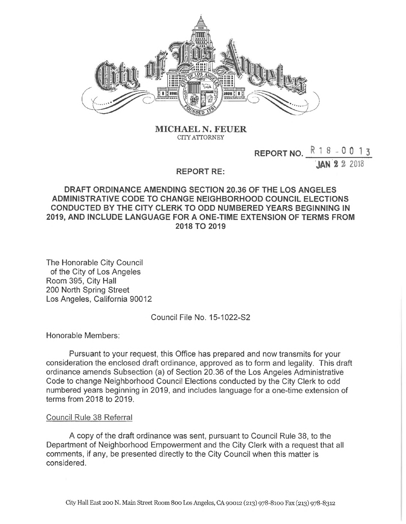

**MICHAEL** N. **FEUER CITY ATTORNEY**

**REPORT NO. ^ <sup>1</sup> 8 <sup>~</sup> 0 0 <sup>1</sup> <sup>3</sup>**

JAN *% %* 2018

## **REPORT RE:**

## **DRAFT ORDINANCE AMENDING SECTION 20.36 OF THE LOS ANGELES ADMINISTRATIVE CODE TO CHANGE NEIGHBORHOOD COUNCIL ELECTIONS CONDUCTED BY THE CITY CLERK TO ODD NUMBERED YEARS BEGINNING IN 2019, AND INCLUDE LANGUAGE FOR A ONE-TIME EXTENSION OF TERMS FROM 2018 TO 2019**

The Honorable City Council of the City of Los Angeles Room 395, City Hall 200 North Spring Street Los Angeles, California 90012

Council File No. 15-1022-S2

Honorable Members:

Pursuant to your request, this Office has prepared and now transmits for your consideration the enclosed draft ordinance, approved as to form and legality. This draft ordinance amends Subsection (a) of Section 20.36 of the Los Angeles Administrative Code to change Neighborhood Council Elections conducted by the City Clerk to odd numbered years beginning in 2019, and includes language for a one-time extension of terms from 2018 to 2019.

## Council Rule 38 Referral

A copy of the draft ordinance was sent, pursuant to Council Rule 38, to the Department of Neighborhood Empowerment and the City Clerk with a request that all comments, if any, be presented directly to the City Council when this matter is considered.